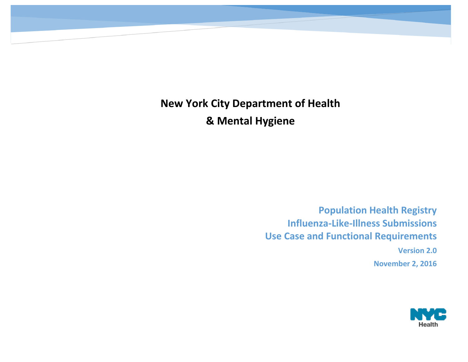> **Population Health Registry Influenza-Like-Illness Submissions Use Case and Functional Requirements Version 2.0**

> > **November 2, 2016**

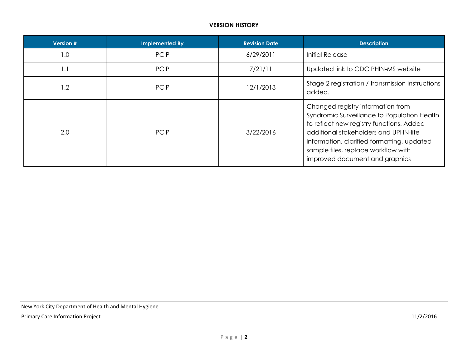## **VERSION HISTORY**

| Version # | <b>Implemented By</b> | <b>Revision Date</b> | <b>Description</b>                                                                                                                                                                                                                                                                           |
|-----------|-----------------------|----------------------|----------------------------------------------------------------------------------------------------------------------------------------------------------------------------------------------------------------------------------------------------------------------------------------------|
| 1.0       | <b>PCIP</b>           | 6/29/2011            | <b>Initial Release</b>                                                                                                                                                                                                                                                                       |
| 1.1       | <b>PCIP</b>           | 7/21/11              | Updated link to CDC PHIN-MS website                                                                                                                                                                                                                                                          |
| 1.2       | <b>PCIP</b>           | 12/1/2013            | Stage 2 registration / transmission instructions<br>added.                                                                                                                                                                                                                                   |
| 2.0       | <b>PCIP</b>           | 3/22/2016            | Changed registry information from<br>Syndromic Surveillance to Population Health<br>to reflect new registry functions. Added<br>additional stakeholders and UPHN-lite<br>information, clarified formatting, updated<br>sample files, replace workflow with<br>improved document and graphics |

New York City Department of Health and Mental Hygiene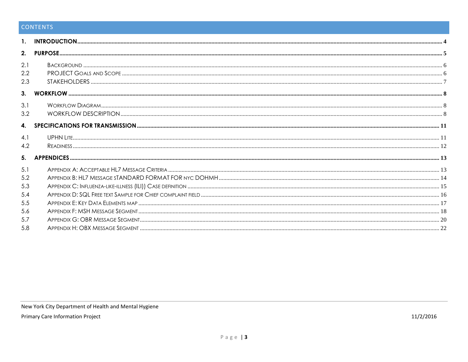# CONTENTS

| 2.                |  |
|-------------------|--|
| 2.1<br>2.2<br>2.3 |  |
| 3 <sub>1</sub>    |  |
| 3.1<br>3.2        |  |
| 4.                |  |
| 4.1<br>4.2        |  |
| 5.                |  |
| 5.1               |  |
| 5.2               |  |
| 5.3               |  |
| 5.4               |  |
| 5.5               |  |
| 5.6               |  |
| 5.7               |  |
| 5.8               |  |

<span id="page-3-0"></span>New York City Department of Health and Mental Hygiene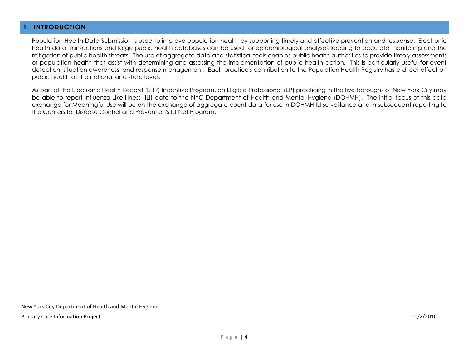### **1. INTRODUCTION**

Population Health Data Submission is used to improve population health by supporting timely and effective prevention and response. Electronic health data transactions and large public health databases can be used for epidemiological analyses leading to accurate monitoring and the mitigation of public health threats. The use of aggregate data and statistical tools enables public health authorities to provide timely assessments of population health that assist with determining and assessing the implementation of public health action. This is particularly useful for event detection, situation awareness, and response management. Each practice's contribution to the Population Health Registry has a direct effect on public health at the national and state levels.

<span id="page-4-0"></span>As part of the Electronic Health Record (EHR) Incentive Program, an Eligible Professional (EP) practicing in the five boroughs of New York City may be able to report Influenza-Like-Illness (ILI) data to the NYC Department of Health and Mental Hygiene (DOHMH). The initial focus of this data exchange for Meaningful Use will be on the exchange of aggregate count data for use in DOHMH ILI surveillance and in subsequent reporting to the Centers for Disease Control and Prevention's ILI Net Program.

New York City Department of Health and Mental Hygiene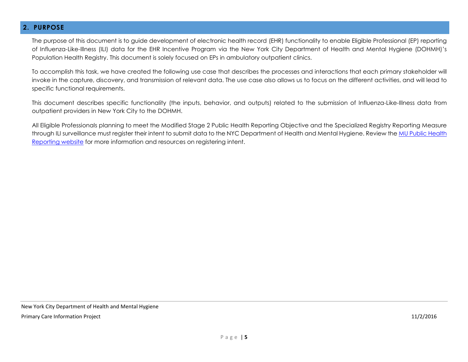### **2. PURPOSE**

The purpose of this document is to guide development of electronic health record (EHR) functionality to enable Eligible Professional (EP) reporting of Influenza-Like-Illness (ILI) data for the EHR Incentive Program via the New York City Department of Health and Mental Hygiene (DOHMH)'s Population Health Registry. This document is solely focused on EPs in ambulatory outpatient clinics.

To accomplish this task, we have created the following use case that describes the processes and interactions that each primary stakeholder will invoke in the capture, discovery, and transmission of relevant data. The use case also allows us to focus on the different activities, and will lead to specific functional requirements.

This document describes specific functionality (the inputs, behavior, and outputs) related to the submission of Influenza-Like-Illness data from outpatient providers in New York City to the DOHMH.

<span id="page-5-0"></span>All Eligible Professionals planning to meet the Modified Stage 2 Public Health Reporting Objective and the Specialized Registry Reporting Measure through ILI surveillance must register their intent to submit data to the NYC Department of Health and Mental Hygiene. Review th[e MU Public Health](https://www.emedny.org/meipass/publichealth/index.aspx) [Reporting website](https://www.emedny.org/meipass/publichealth/index.aspx) for more information and resources on registering intent.

New York City Department of Health and Mental Hygiene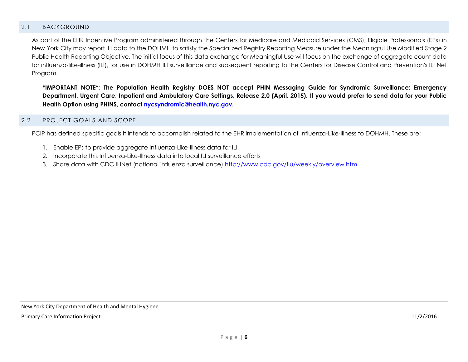### 2.1 BACKGROUND

As part of the EHR Incentive Program administered through the Centers for Medicare and Medicaid Services (CMS), Eligible Professionals (EPs) in New York City may report ILI data to the DOHMH to satisfy the Specialized Registry Reporting Measure under the Meaningful Use Modified Stage 2 Public Health Reporting Objective. The initial focus of this data exchange for Meaningful Use will focus on the exchange of aggregate count data for influenza-like-illness (ILI), for use in DOHMH ILI surveillance and subsequent reporting to the Centers for Disease Control and Prevention's ILI Net Program.

**\*IMPORTANT NOTE\*: The Population Health Registry DOES NOT accept PHIN Messaging Guide for Syndromic Surveillance: Emergency Department, Urgent Care, Inpatient and Ambulatory Care Settings, Release 2.0 (April, 2015)***.* **If you would prefer to send data for your Public Health Option using PHINS, contact [nycsyndromic@health.nyc.gov.](mailto:nycsyndromic@health.nyc.gov)**

#### <span id="page-6-0"></span>2.2 PROJECT GOALS AND SCOPE

PCIP has defined specific goals it intends to accomplish related to the EHR implementation of Influenza-Like-Illness to DOHMH. These are:

- 1. Enable EPs to provide aggregate Influenza-Like-Illness data for ILI
- 2. Incorporate this Influenza-Like-Illness data into local ILI surveillance efforts
- <span id="page-6-1"></span>3. Share data with CDC ILINet (national influenza surveillance) <http://www.cdc.gov/flu/weekly/overview.htm>

New York City Department of Health and Mental Hygiene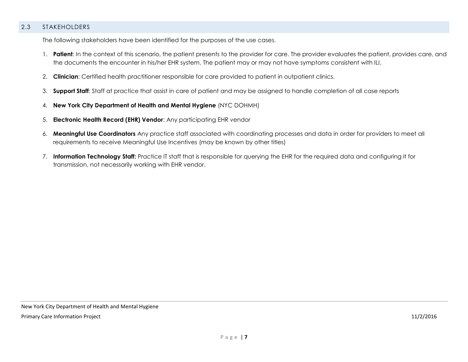### 2.3 STAKEHOLDERS

The following stakeholders have been identified for the purposes of the use cases.

- 1. **Patient**: In the context of this scenario, the patient presents to the provider for care. The provider evaluates the patient, provides care, and the documents the encounter in his/her EHR system. The patient may or may not have symptoms consistent with ILI.
- 2. **Clinician**: Certified health practitioner responsible for care provided to patient in outpatient clinics.
- 3. **Support Staff**: Staff at practice that assist in care of patient and may be assigned to handle completion of all case reports
- 4. **New York City Department of Health and Mental Hygiene** (NYC DOHMH)
- 5. **Electronic Health Record (EHR) Vendor**: Any participating EHR vendor
- 6. **Meaningful Use Coordinators** Any practice staff associated with coordinating processes and data in order for providers to meet all requirements to receive Meaningful Use Incentives (may be known by other titles)
- 7. **Information Technology Staff:** Practice IT staff that is responsible for querying the EHR for the required data and configuring it for transmission, not necessarily working with EHR vendor.

New York City Department of Health and Mental Hygiene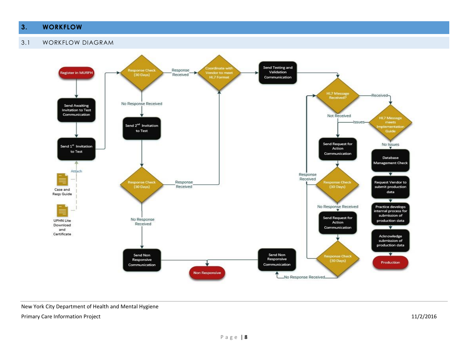# <span id="page-8-0"></span>**3. WORKFLOW**

<span id="page-8-2"></span><span id="page-8-1"></span>



New York City Department of Health and Mental Hygiene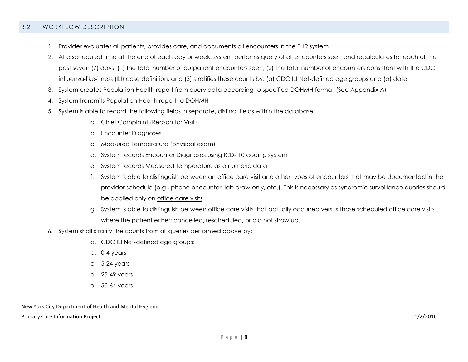#### 3.2 WORKFLOW DESCRIPTION

- 1. Provider evaluates all patients, provides care, and documents all encounters in the EHR system
- 2. At a scheduled time at the end of each day or week, system performs query of all encounters seen and recalculates for each of the past seven (7) days: (1) the total number of outpatient encounters seen, (2) the total number of encounters consistent with the CDC influenza‐like‐illness (ILI) case definition, and (3) stratifies these counts by: (a) CDC ILI Net‐defined age groups and (b) date
- 3. System creates Population Health report from query data according to specified DOHMH format (See Appendix A)
- 4. System transmits Population Health report to DOHMH
- 5. System is able to record the following fields in separate, distinct fields within the database:
	- a. Chief Complaint (Reason for Visit)
	- b. Encounter Diagnoses
	- c. Measured Temperature (physical exam)
	- d. System records Encounter Diagnoses using ICD- 10 coding system
	- e. System records Measured Temperature as a numeric data
	- f. System is able to distinguish between an office care visit and other types of encounters that may be documented in the provider schedule (e.g., phone encounter, lab draw only, etc.). This is necessary as syndromic surveillance queries should be applied only on office care visits
	- g. System is able to distinguish between office care visits that actually occurred versus those scheduled office care visits where the patient either: cancelled, rescheduled, or did not show up.
- 6. System shall stratify the counts from all queries performed above by:
	- a. CDC ILI Net‐defined age groups:
	- b. 0‐4 years
	- c. 5‐24 years
	- d. 25‐49 years
	- e. 50‐64 years

New York City Department of Health and Mental Hygiene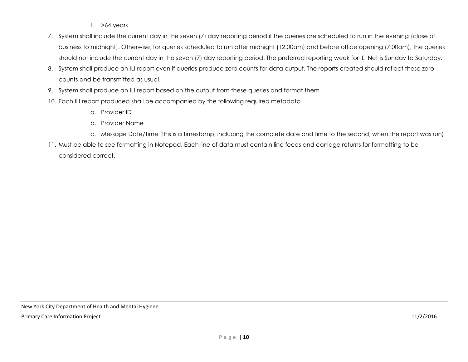- f.  $>64$  years
- 7. System shall include the current day in the seven (7) day reporting period if the queries are scheduled to run in the evening (close of business to midnight). Otherwise, for queries scheduled to run after midnight (12:00am) and before office opening (7:00am), the queries should not include the current day in the seven (7) day reporting period. The preferred reporting week for ILI Net is Sunday to Saturday.
- 8. System shall produce an ILI report even if queries produce zero counts for data output. The reports created should reflect these zero counts and be transmitted as usual.
- 9. System shall produce an ILI report based on the output from these queries and format them
- 10. Each ILI report produced shall be accompanied by the following required metadata
	- a. Provider ID
	- b. Provider Name
	- c. Message Date/Time (this is a timestamp, including the complete date and time to the second, when the report was run)
- 11. Must be able to see formatting in Notepad. Each line of data must contain line feeds and carriage returns for formatting to be considered correct.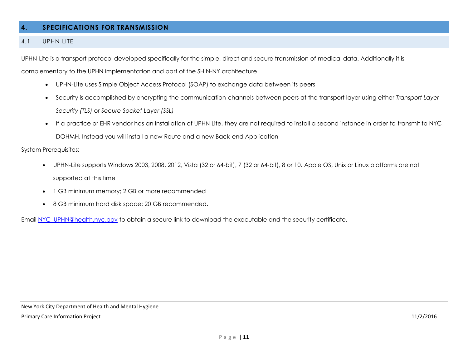### <span id="page-11-0"></span>**4. SPECIFICATIONS FOR TRANSMISSION**

### <span id="page-11-1"></span>4.1 UPHN LITE

UPHN-Lite is a transport protocol developed specifically for the simple, direct and secure transmission of medical data. Additionally it is

complementary to the UPHN implementation and part of the SHIN-NY architecture.

- UPHN-Lite uses Simple Object Access Protocol (SOAP) to exchange data between its peers
- Security is accomplished by encrypting the communication channels between peers at the transport layer using either *Transport Layer Security (TLS)* or *Secure Socket Layer (SSL)*
- If a practice or EHR vendor has an installation of UPHN Lite, they are not required to install a second instance in order to transmit to NYC DOHMH. Instead you will install a new Route and a new Back-end Application

System Prerequisites:

- UPHN-Lite supports Windows 2003, 2008, 2012, Vista (32 or 64-bit), 7 (32 or 64-bit), 8 or 10. Apple OS, Unix or Linux platforms are not supported at this time
- 1 GB minimum memory; 2 GB or more recommended
- 8 GB minimum hard disk space; 20 GB recommended.

<span id="page-11-2"></span>Email [NYC\\_UPHN@health.nyc.gov](mailto:NYC_UPHN@health.nyc.gov) to obtain a secure link to download the executable and the security certificate.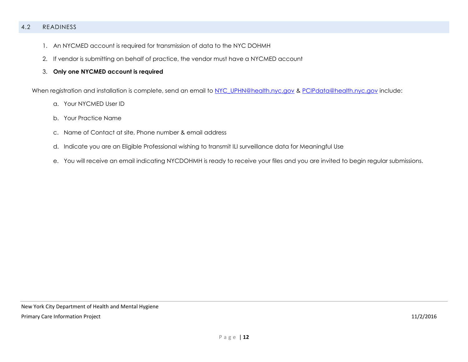### 4.2 READINESS

- 1. An NYCMED account is required for transmission of data to the NYC DOHMH
- 2. If vendor is submitting on behalf of practice, the vendor must have a NYCMED account
- 3. **Only one NYCMED account is required**

When registration and installation is complete, send an email to [NYC\\_UPHN@health.nyc.gov](file:///C:/Users/KPellingra/AppData/Local/Microsoft/Windows/Temporary%20Internet%20Files/Content.Outlook/Y11I1XO6/NYC_UPHN@health.nyc.gov) & [PCIPdata@health.nyc.gov](mailto:PCIPdata@health.nyc.gov) include:

- a. Your NYCMED User ID
- b. Your Practice Name
- c. Name of Contact at site, Phone number & email address
- d. Indicate you are an Eligible Professional wishing to transmit ILI surveillance data for Meaningful Use
- e. You will receive an email indicating NYCDOHMH is ready to receive your files and you are invited to begin regular submissions.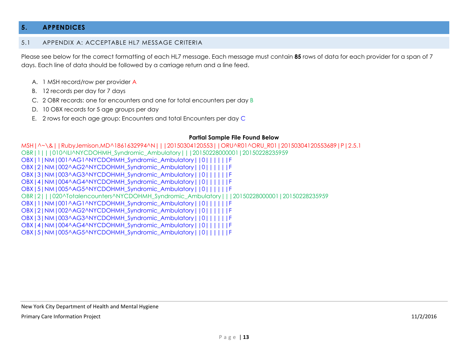### <span id="page-13-0"></span>**5. APPENDICES**

#### <span id="page-13-1"></span>5.1 APPENDIX A: ACCEPTABLE HL7 MESSAGE CRITERIA

Please see below for the correct formatting of each HL7 message. Each message must contain **85** rows of data for each provider for a span of 7 days. Each line of data should be followed by a carriage return and a line feed.

- A. 1 MSH record/row per provider A
- B. 12 records per day for 7 days
- C. 2 OBR records: one for encounters and one for total encounters per day B
- D. 10 OBX records for 5 age groups per day
- E. 2 rows for each age group: Encounters and total Encounters per day C

#### **Partial Sample File Found Below**

MSH|^~\&||RubyJemison,MD^1861632994^N|||20150304120553||ORU^R01^ORU\_R01|20150304120553689|P|2.5.1 OBR|1|||010^ILI^NYCDOHMH\_Syndromic\_Ambulatory|||20150228000001|20150228235959 OBX|1|NM|001^AG1^NYCDOHMH\_Syndromic\_Ambulatory||0||||||F OBX|2|NM|002^AG2^NYCDOHMH\_Syndromic\_Ambulatory||0||||||F OBX|3|NM|003^AG3^NYCDOHMH\_Syndromic\_Ambulatory||0||||||F OBX|4|NM|004^AG4^NYCDOHMH\_Syndromic\_Ambulatory||0||||||F OBX|5|NM|005^AG5^NYCDOHMH\_Syndromic\_Ambulatory||0||||||F OBR|2|||020^Totalencounters^NYCDOHMH\_Syndromic\_Ambulatory|||20150228000001|20150228235959 OBX|1|NM|001^AG1^NYCDOHMH\_Syndromic\_Ambulatory||0||||||F OBX|2|NM|002^AG2^NYCDOHMH\_Syndromic\_Ambulatory||0||||||F OBX|3|NM|003^AG3^NYCDOHMH\_Syndromic\_Ambulatory||0||||||F OBX|4|NM|004^AG4^NYCDOHMH\_Syndromic\_Ambulatory||0||||||F OBX|5|NM|005^AG5^NYCDOHMH\_Syndromic\_Ambulatory||0||||||F

New York City Department of Health and Mental Hygiene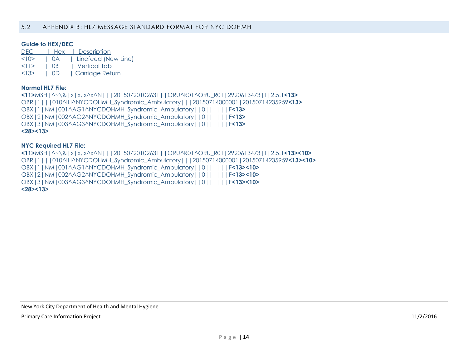#### <span id="page-14-0"></span>**Guide to HEX/DEC**

| DEC. | Hex  | Description         |
|------|------|---------------------|
| <10> | I OA | Linefeed (New Line) |
| <11> | I OB | l Vertical Tab      |
| <13> | L OD | Carriage Return     |

#### **Normal HL7 File:**

**<11>**MSH|^~\&|x|x, x^x^N|||20150720102631||ORU^R01^ORU\_R01|2920613473|T|2.5.1**<13>** OBR|1|||010^ILI^NYCDOHMH\_Syndromic\_Ambulatory|||20150714000001|20150714235959**<13>** OBX|1|NM|001^AG1^NYCDOHMH\_Syndromic\_Ambulatory||0||||||F**<13>** OBX|2|NM|002^AG2^NYCDOHMH\_Syndromic\_Ambulatory||0||||||F**<13>** OBX|3|NM|003^AG3^NYCDOHMH\_Syndromic\_Ambulatory||0||||||F**<13> <28><13>**

#### **NYC Required HL7 File:**

**<11>**MSH|^~\&|x|x, x^x^N|||20150720102631||ORU^R01^ORU\_R01|2920613473|T|2.5.1**<13><10>** OBR|1|||010^ILI^NYCDOHMH\_Syndromic\_Ambulatory|||20150714000001|20150714235959**<13><10>** OBX|1|NM|001^AG1^NYCDOHMH\_Syndromic\_Ambulatory||0||||||F**<13><10>** OBX|2|NM|002^AG2^NYCDOHMH\_Syndromic\_Ambulatory||0||||||F**<13><10>** OBX|3|NM|003^AG3^NYCDOHMH\_Syndromic\_Ambulatory||0||||||F**<13><10> <28><13>**

New York City Department of Health and Mental Hygiene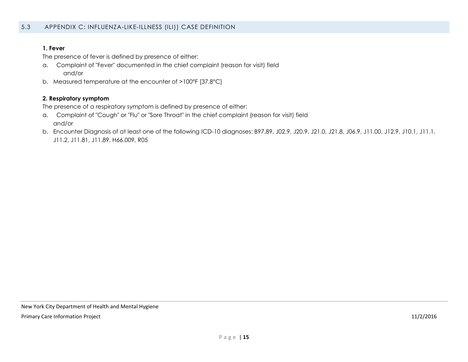#### <span id="page-15-0"></span>**1. Fever**

The presence of fever is defined by presence of either:

- a. Complaint of "Fever" documented in the chief complaint (reason for visit) field and/or
- b. Measured temperature at the encounter of >100°F [37.8°C]

#### **2. Respiratory symptom**

The presence of a respiratory symptom is defined by presence of either:

- a. Complaint of "Cough" or "Flu" or "Sore Throat" in the chief complaint (reason for visit) field and/or
- b. Encounter Diagnosis of at least one of the following ICD-10 diagnoses: B97.89, J02.9, J20.9, J21.0, J21.8, J06.9, J11.00, J12.9, J10.1, J11.1, J11.2, J11.81, J11.89, H66.009, R05

New York City Department of Health and Mental Hygiene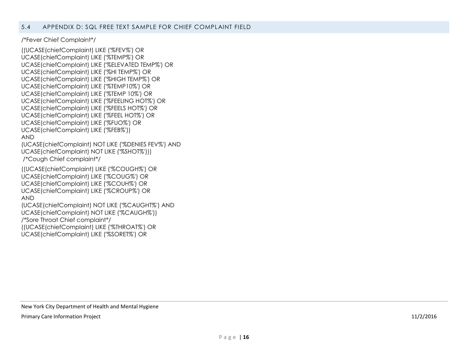<span id="page-16-0"></span>/\*Fever Chief Complaint\*/

((UCASE(chiefComplaint) LIKE ('%FEV%') OR UCASE(chiefComplaint) LIKE ('%TEMP%') OR UCASE(chiefComplaint) LIKE ('%ELEVATED TEMP%') OR UCASE(chiefComplaint) LIKE ('%HI TEMP%') OR UCASE(chiefComplaint) LIKE ('%HIGH TEMP%') OR UCASE(chiefComplaint) LIKE ('%TEMP10%') OR UCASE(chiefComplaint) LIKE ('%TEMP 10%') OR UCASE(chiefComplaint) LIKE ('%FEELING HOT%') OR UCASE(chiefComplaint) LIKE ('%FEELS HOT%') OR UCASE(chiefComplaint) LIKE ('%FEEL HOT%') OR UCASE(chiefComplaint) LIKE ('%FUO%') OR UCASE(chiefComplaint) LIKE ('%FEB%')) AND (UCASE(chiefComplaint) NOT LIKE ('%DENIES FEV%') AND UCASE(chiefComplaint) NOT LIKE ('%SHOT%'))) /\*Cough Chief complaint\*/ ((UCASE(chiefComplaint) LIKE ('%COUGH%') OR UCASE(chiefComplaint) LIKE ('%COUG%') OR UCASE(chiefComplaint) LIKE ('%COUH%') OR UCASE(chiefComplaint) LIKE ('%CROUP%') OR AND (UCASE(chiefComplaint) NOT LIKE ('%CAUGHT%') AND UCASE(chiefComplaint) NOT LIKE ('%CAUGH%')) /\*Sore Throat Chief complaint\*/ ((UCASE(chiefComplaint) LIKE ('%THROAT%') OR UCASE(chiefComplaint) LIKE ('%SORET%') OR

New York City Department of Health and Mental Hygiene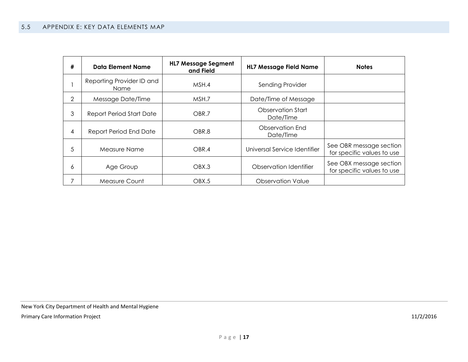<span id="page-17-0"></span>

| # | Data Element Name                 | <b>HL7 Message Segment</b><br>and Field | <b>HL7 Message Field Name</b>  | <b>Notes</b>                                          |
|---|-----------------------------------|-----------------------------------------|--------------------------------|-------------------------------------------------------|
|   | Reporting Provider ID and<br>Name | MSH.4                                   | Sending Provider               |                                                       |
| 2 | Message Date/Time                 | MSH.7                                   | Date/Time of Message           |                                                       |
| 3 | Report Period Start Date          | OBR.7                                   | Observation Start<br>Date/Time |                                                       |
| 4 | Report Period End Date            | OBR.8                                   | Observation End<br>Date/Time   |                                                       |
| 5 | Measure Name                      | OBR.4                                   | Universal Service Identifier   | See OBR message section<br>for specific values to use |
| 6 | Age Group                         | OBX.3                                   | Observation Identifier         | See OBX message section<br>for specific values to use |
| 7 | Measure Count                     | OBX.5                                   | Observation Value              |                                                       |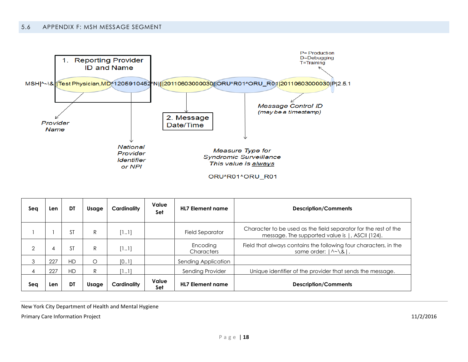<span id="page-18-0"></span>

| Sea            | Len | DT        | Usage | Cardinality | Value<br>Set | <b>HL7 Element name</b> | <b>Description/Comments</b>                                                                                        |
|----------------|-----|-----------|-------|-------------|--------------|-------------------------|--------------------------------------------------------------------------------------------------------------------|
|                |     | SΤ        | R     | [11]        |              | Field Separator         | Character to be used as the field separator for the rest of the<br>message. The supported value is  , ASCII (124). |
| $\overline{2}$ | 4   | ST        | R     | [11]        |              | Encoding<br>Characters  | Field that always contains the following four characters, in the<br>same order: $ \wedge \sim \setminus \& $ .     |
| 3              | 227 | <b>HD</b> | Ο     | [0.1]       |              | Sending Application     |                                                                                                                    |
| 4              | 227 | <b>HD</b> | R     | [11]        |              | Sending Provider        | Unique identifier of the provider that sends the message.                                                          |
| Sea            | Len | DT        | Usage | Cardinality | Value<br>Set | <b>HL7 Element name</b> | <b>Description/Comments</b>                                                                                        |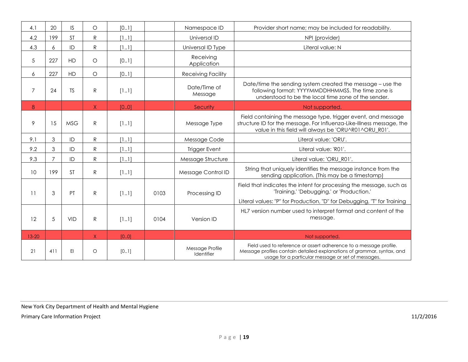<span id="page-19-0"></span>

| 4.1            | 20             | IS.        | $\bigcirc$   | [0.1] |      | Namespace ID                  | Provider short name; may be included for readability.                                                                                                                                             |
|----------------|----------------|------------|--------------|-------|------|-------------------------------|---------------------------------------------------------------------------------------------------------------------------------------------------------------------------------------------------|
| 4.2            | 199            | <b>ST</b>  | $\mathsf{R}$ | [11]  |      | Universal ID                  | NPI (provider)                                                                                                                                                                                    |
| 4.3            | 6              | ID         | $\mathsf{R}$ | [11]  |      | Universal ID Type             | Literal value: N                                                                                                                                                                                  |
| 5              | 227            | <b>HD</b>  | $\circ$      | [0.1] |      | Receiving<br>Application      |                                                                                                                                                                                                   |
| 6              | 227            | <b>HD</b>  | $\circ$      | [01]  |      | <b>Receiving Facility</b>     |                                                                                                                                                                                                   |
| $\overline{7}$ | 24             | <b>TS</b>  | ${\sf R}$    | [11]  |      | Date/Time of<br>Message       | Date/time the sending system created the message – use the<br>following format: YYYYMMDDHHMMSS. The time zone is<br>understood to be the local time zone of the sender.                           |
| 8              |                |            | $\mathsf{X}$ | [0.0] |      | Security                      | Not supported                                                                                                                                                                                     |
| 9              | 15             | <b>MSG</b> | $\mathsf{R}$ | [11]  |      | Message Type                  | Field containing the message type, trigger event, and message<br>structure ID for the message. For Influenza-Like-Illness message, the<br>value in this field will always be 'ORU^R01^ORU_R01'.   |
| 9.1            | 3              | ID         | $\mathsf{R}$ | [11]  |      | Message Code                  | Literal value: 'ORU'.                                                                                                                                                                             |
| 9.2            | 3              | ID         | R            | [11]  |      | <b>Trigger Event</b>          | Literal value: 'R01'.                                                                                                                                                                             |
| 9.3            | $\overline{7}$ | ID         | $\mathsf{R}$ | [11]  |      | Message Structure             | Literal value: 'ORU_R01'.                                                                                                                                                                         |
| 10             | 199            | <b>ST</b>  | ${\sf R}$    | [11]  |      | Message Control ID            | String that uniquely identifies the message instance from the<br>sending application. (This may be a timestamp)                                                                                   |
| 11             | 3              | PT         | $\mathsf{R}$ | [11]  | 0103 | Processing ID                 | Field that indicates the intent for processing the message, such as<br>'Training,' 'Debugging,' or 'Production.'                                                                                  |
|                |                |            |              |       |      |                               | Literal values: "P" for Production, "D" for Debugging, "T" for Training                                                                                                                           |
| 12             | 5              | <b>VID</b> | $\mathsf{R}$ | [11]  | 0104 | Version ID                    | HL7 version number used to interpret format and content of the<br>message.                                                                                                                        |
| $13 - 20$      |                |            | X            | [0.0] |      |                               | Not supported.                                                                                                                                                                                    |
| 21             | 411            | EI         | $\circ$      | [01]  |      | Message Profile<br>Identifier | Field used to reference or assert adherence to a message profile.<br>Message profiles contain detailed explanations of grammar, syntax, and<br>usage for a particular message or set of messages. |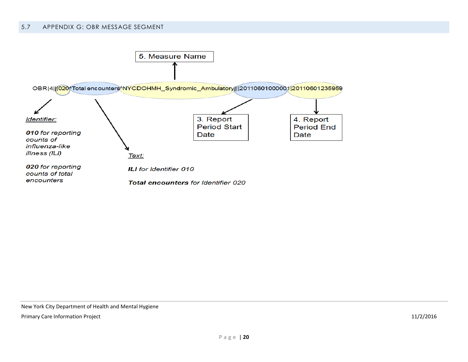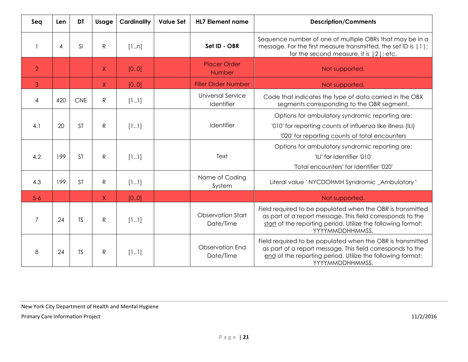| Seq            | Len | <b>DT</b>  | Usage        | <b>Cardinality</b> | <b>Value Set</b> | <b>HL7 Element name</b>                | <b>Description/Comments</b>                                                                                                                                                                                 |
|----------------|-----|------------|--------------|--------------------|------------------|----------------------------------------|-------------------------------------------------------------------------------------------------------------------------------------------------------------------------------------------------------------|
|                | 4   | <b>SI</b>  | ${\sf R}$    | [1n]               |                  | Set ID - OBR                           | Sequence number of one of multiple OBRs that may be in a<br>message. For the first measure transmitted, the set ID is   1 ;<br>for the second measure, it is $ 2 $ ; etc.                                   |
| $\overline{2}$ |     |            | $\sf X$      | [0.0]              |                  | <b>Placer Order</b><br>Number          | Not supported.                                                                                                                                                                                              |
| 3              |     |            | $\sf X$      | [0.0]              |                  | <b>Filler Order Number</b>             | Not supported                                                                                                                                                                                               |
| 4              | 420 | <b>CNE</b> | $\mathsf{R}$ | [11]               |                  | <b>Universal Service</b><br>Identifier | Code that indicates the type of data carried in the OBX<br>segments corresponding to the OBR segment.                                                                                                       |
| 4.1            | 20  | <b>ST</b>  | ${\sf R}$    | [11]               |                  | Identifier                             | Options for ambulatory syndromic reporting are:<br>'010' for reporting counts of influenza like illness (ILI)<br>'020' for reporting counts of total encounters                                             |
| 4.2            | 199 | <b>ST</b>  | $\mathsf{R}$ | [11]               |                  | Text                                   | Options for ambulatory syndromic reporting are:<br>'ILI' for Identifier '010'<br>'Total encounters' for Identifier '020'                                                                                    |
| 4.3            | 199 | <b>ST</b>  | $\mathsf{R}$ | [11]               |                  | Name of Coding<br>System               | Literal value ' NYCDOHMH Syndromic _Ambulatory '                                                                                                                                                            |
| $5 - 6$        |     |            | $\mathsf{X}$ | [0.0]              |                  |                                        | Not supported.                                                                                                                                                                                              |
| $\overline{7}$ | 24  | <b>TS</b>  | $\mathsf{R}$ | [11]               |                  | <b>Observation Start</b><br>Date/Time  | Field required to be populated when the OBR is transmitted<br>as part of a report message. This field corresponds to the<br>start of the reporting period. Utilize the following format:<br>YYYYMMDDHHMMSS. |
| 8              | 24  | <b>TS</b>  | $\mathsf{R}$ | [11]               |                  | Observation End<br>Date/Time           | Field required to be populated when the OBR is transmitted<br>as part of a report message. This field corresponds to the<br>end of the reporting period. Utilize the following format:<br>YYYYMMDDHHMMSS.   |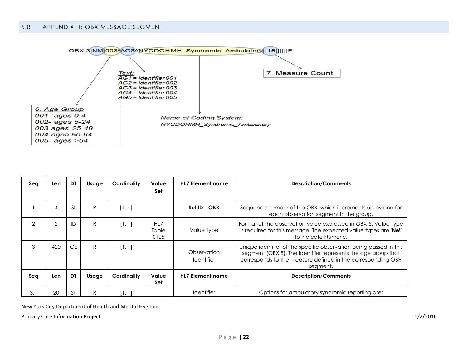<span id="page-22-0"></span>

| Sea            | Len            | DT            | Usage | Cardinality | Value<br>Set         | <b>HL7 Element name</b>          | <b>Description/Comments</b>                                                                                                                                                                                    |
|----------------|----------------|---------------|-------|-------------|----------------------|----------------------------------|----------------------------------------------------------------------------------------------------------------------------------------------------------------------------------------------------------------|
|                | 4              | <sup>SI</sup> | R.    | [1n]        |                      | Set ID - OBX                     | Sequence number of the OBX, which increments up by one for<br>each observation segment in the group.                                                                                                           |
| $\overline{2}$ | $\overline{2}$ | ID            | R     | [11]        | HL7<br>Table<br>0125 | Value Type                       | Format of the observation value expressed in OBX-5. Value Type<br>is required for this message. The expected value types are 'NM'<br>to indicate Numeric.                                                      |
| 3              | 420            | CE            | R     | [11]        |                      | Observation<br><b>Identifier</b> | Unique identifier of the specific observation being passed in this<br>segment (OBX.5). The identifier represents the age group that<br>corresponds to the measure defined in the corresponding OBR<br>segment. |
| Sea            | Len            | DT            | Usage | Cardinality | Value<br>Set         | <b>HL7 Element name</b>          | <b>Description/Comments</b>                                                                                                                                                                                    |
| 3.1            | 20             | <b>ST</b>     | R     | [11]        |                      | <b>Identifier</b>                | Options for ambulatory syndromic reporting are:                                                                                                                                                                |